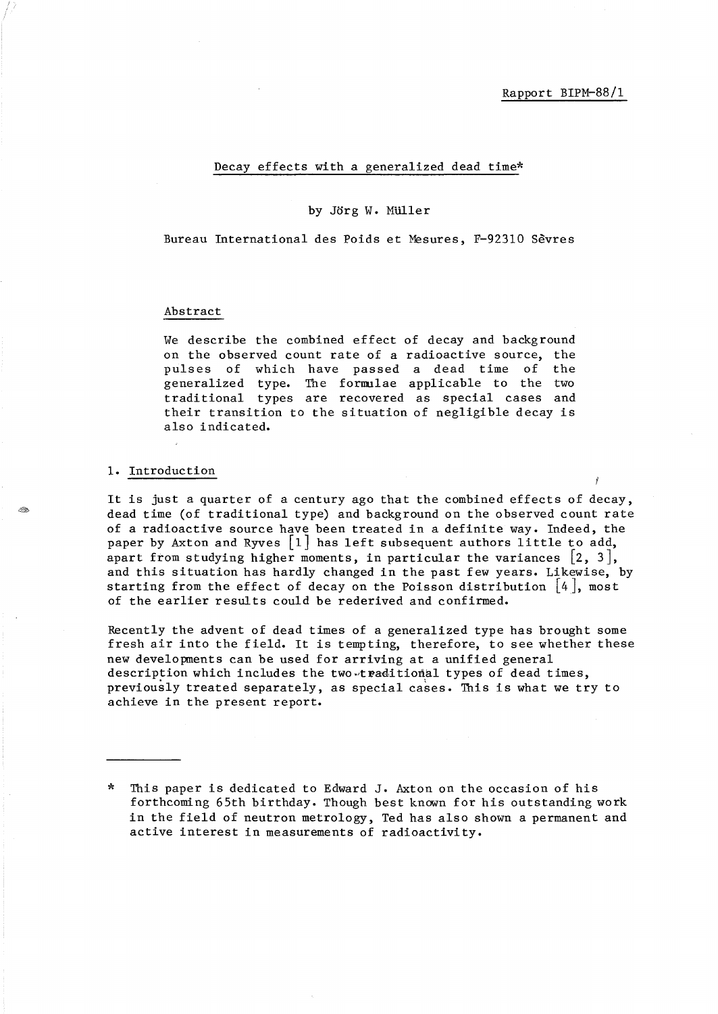# Decay effects with a generalized dead time\*

#### by Jorg W. MUller

Bureau International des Poids et Mesures, F-92310 Sevres

### Abstract

We describe the combined effect of decay and background on the observed count rate of a radioactive source, the pulses of which have passed a dead time of the generalized type. The formulae applicable to the two traditional types are recovered as special cases and their transition to the situation of negligible decay is also indicated.

## 1. Introduction

It is just a quarter of a century ago that the combined effects of decay, dead time (of traditional type) and background on the observed count rate of a radioactive source have been treated in a definite way. Indeed, the paper by Axton and Ryves  $\lceil 1 \rceil$  has left subsequent authors little to add, apart from studying higher moments, in particular the variances  $\{2, 3\}$ , and this situation has hardly changed in the past few years. Likewise, by starting from the effect of decay on the Poisson distribution  $\vert 4\vert$ , most of the earlier results could be rederived and confirmed.

Recently the advent of dead times of a generalized type has brought some fresh air into the field. It is tempting, therefore, to see whether these new developments can be used for arriving at a unified general description which includes the two-traditional types of dead times, previously treated separately, as special cases. This is what we try to achieve in the present report.

This paper is dedicated to Edward J. Axton on the occasion of his forthcoming 65th birthday. Though best known for his outstanding work in the field of neutron metrology, Ted has also shown a permanent and active interest in measurements of radioactivity.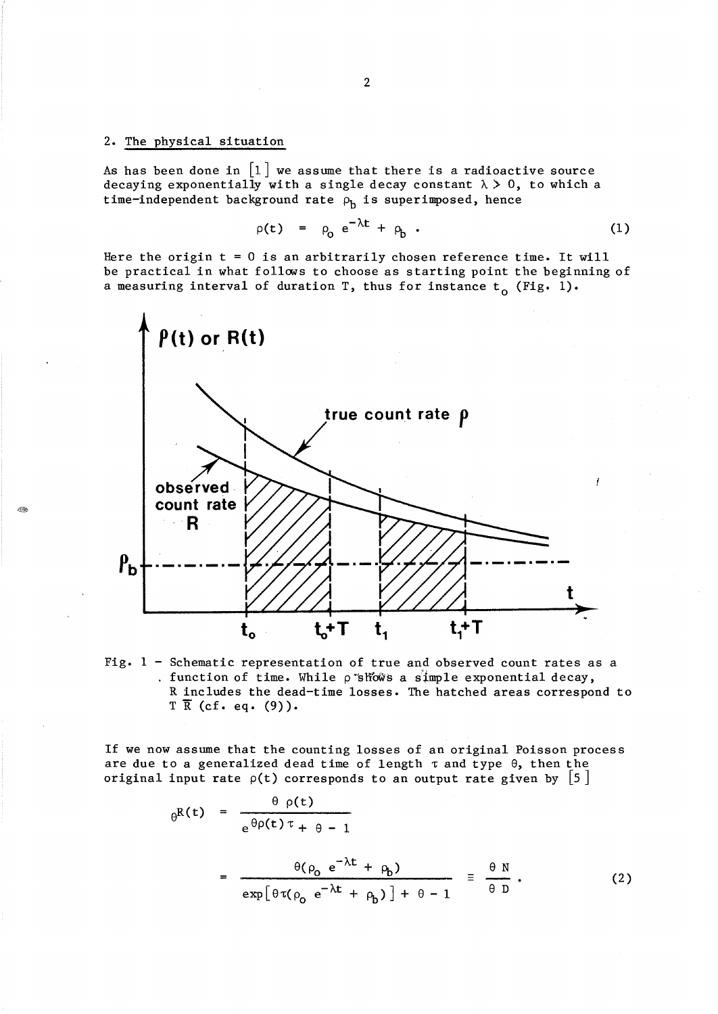# 2. The physical situation

As has been done in  $\lfloor 1 \rfloor$  we assume that there is a radioactive source decaying exponentially with a single decay constant  $\lambda > 0$ , to which a time-independent background rate  $\rho_b$  is superimposed, hence

$$
\rho(t) = \rho_0 e^{-\lambda t} + \rho_b . \qquad (1)
$$

Here the origin  $t = 0$  is an arbitrarily chosen reference time. It will be practical in what follows to choose as starting point the beginning of a measuring interval of duration T, thus for instance  $t_0$  (Fig. 1).



Fig. 1 - Schematic representation of true and observed count rates as a . function of time. While  $\rho$  shows a simple exponential decay, R includes the dead-time losses. The hatched areas correspond to  $T \overline{R}$  (cf. eq. (9)).

If we now assume that the counting losses of an original Poisson process are due to a generalized dead time of length  $\tau$  and type  $\theta$ , then the original input rate  $\rho(t)$  corresponds to an output rate given by  $|5|$ 

$$
\theta^{R(t)} = \frac{\theta \rho(t)}{e^{\theta \rho(t)\tau} + \theta - 1}
$$
  
= 
$$
\frac{\theta(\rho_0 e^{-\lambda t} + \rho_b)}{exp[\theta \tau(\rho_0 e^{-\lambda t} + \rho_b)] + \theta - 1} \equiv \frac{\theta N}{\theta D}.
$$
 (2)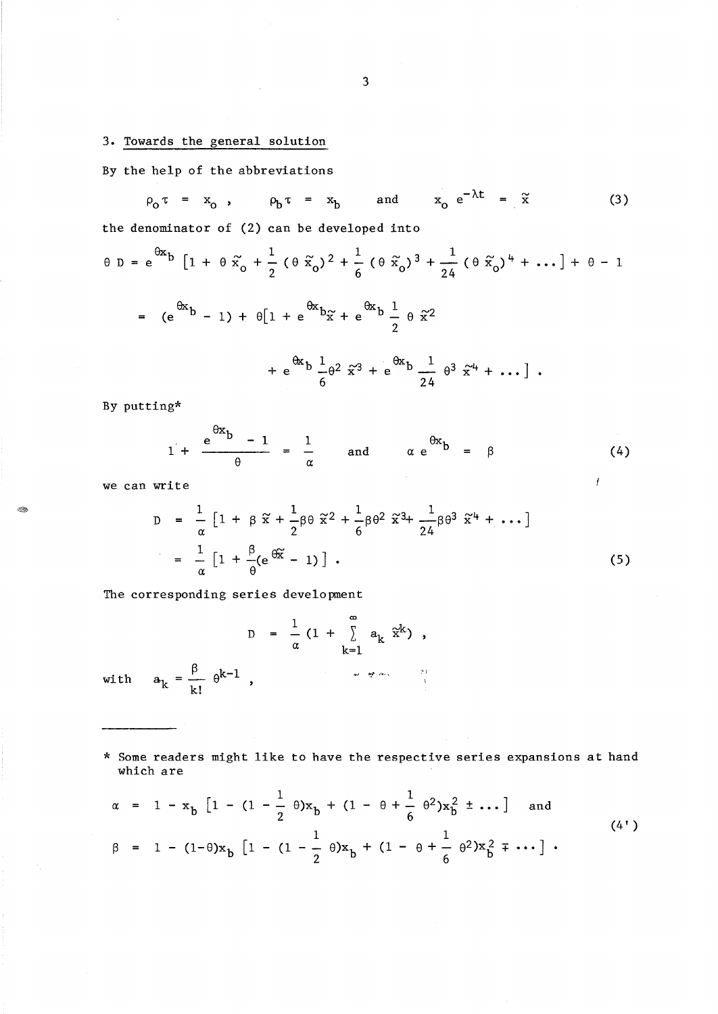# 3. Towards the general solution

By the help of the abbreviations

 $\rho_0 \tau = x_0$ ,  $\rho_b \tau = x_b$  and  $x_0 e^{-\lambda t} = \tilde{x}$  (3)

the denominator of (2) can be developed into

$$
\theta D = e^{\theta x} b \left[ 1 + \theta \tilde{x}_0 + \frac{1}{2} (\theta \tilde{x}_0)^2 + \frac{1}{6} (\theta \tilde{x}_0)^3 + \frac{1}{24} (\theta \tilde{x}_0)^4 + \dots \right] + \theta - 1
$$
  
=  $(e^{\theta x} b - 1) + \theta [1 + e^{\theta x} b \tilde{x} + e^{\theta x} b \frac{1}{2} \theta \tilde{x}^2 + e^{\theta x} b \frac{1}{24} \theta^3 \tilde{x}^4 + \dots ]$ .

By putting\*

$$
1 + \frac{e^{bx}b - 1}{\theta} = \frac{1}{\alpha} \quad \text{and} \quad \alpha e^{\theta x}b = \beta \quad (4)
$$

 $\boldsymbol{f}$ 

we can write

E.

$$
D = \frac{1}{\alpha} \left[ 1 + \beta \tilde{x} + \frac{1}{2} \beta \theta \tilde{x}^{2} + \frac{1}{6} \beta \theta^{2} \tilde{x}^{3} + \frac{1}{24} \beta \theta^{3} \tilde{x}^{4} + \dots \right]
$$

$$
= \frac{1}{\alpha} \left[ 1 + \frac{\beta}{\theta} (e^{\frac{\theta \tilde{x}}{\theta}} - 1) \right].
$$
 (5)

The corresponding series development

D with  $a_k = \frac{\beta}{k!} \theta^{k-1}$ ,  $\frac{1}{-}$  (1 +  $\frac{1}{\alpha}$  (1 +  $\sum_{k=1}$ ) k=l ",.I ~,. ,-•• ,

\* Some readers might like to have the respective series expansions at hand which are

$$
\alpha = 1 - x_b \left[ 1 - (1 - \frac{1}{2} \theta) x_b + (1 - \theta + \frac{1}{6} \theta^2) x_b^2 \pm \dots \right] \text{ and}
$$
  
\n
$$
\beta = 1 - (1 - \theta) x_b \left[ 1 - (1 - \frac{1}{2} \theta) x_b + (1 - \theta + \frac{1}{6} \theta^2) x_b^2 \mp \dots \right].
$$
 (4')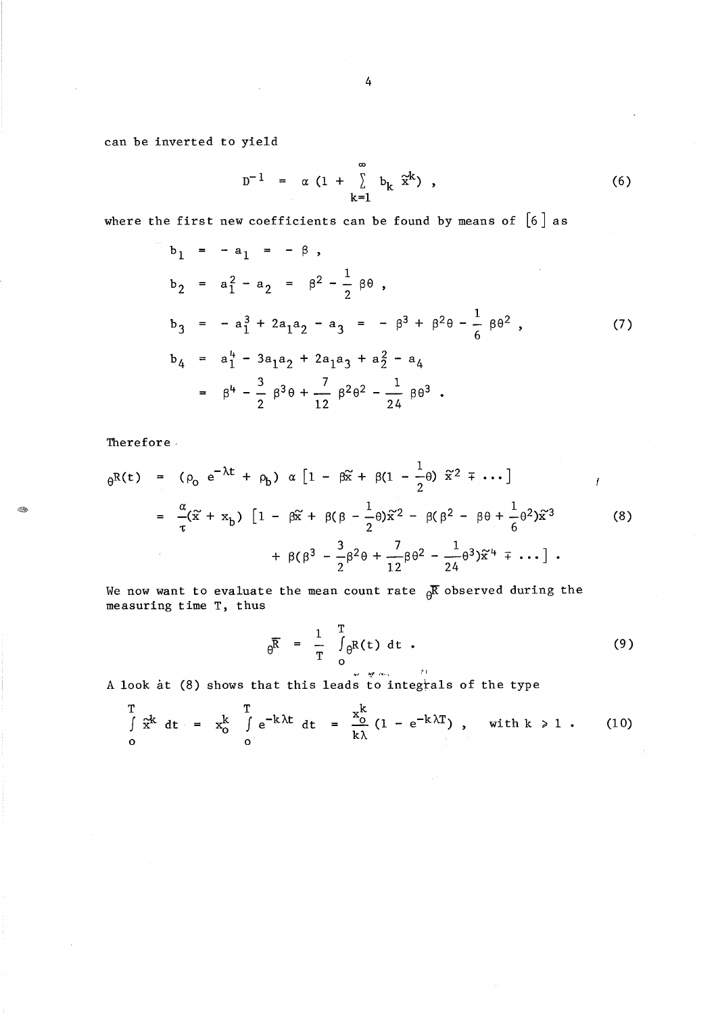can be inverted to yield

$$
D^{-1} = \alpha (1 + \sum_{k=1}^{\infty} b_k \tilde{x}^k), \qquad (6)
$$

where the first new coefficients can be found by means of  $[6]$  as

$$
b_1 = -a_1 = -\beta,
$$
  
\n
$$
b_2 = a_1^2 - a_2 = \beta^2 - \frac{1}{2}\beta\theta,
$$
  
\n
$$
b_3 = -a_1^3 + 2a_1a_2 - a_3 = -\beta^3 + \beta^2\theta - \frac{1}{6}\beta\theta^2,
$$
  
\n
$$
b_4 = a_1^4 - 3a_1a_2 + 2a_1a_3 + a_2^2 - a_4
$$
  
\n
$$
= \beta^4 - \frac{3}{2}\beta^3\theta + \frac{7}{12}\beta^2\theta^2 - \frac{1}{24}\beta\theta^3.
$$
 (7)

Therefore,

20

$$
\theta^{R(t)} = (\rho_0 e^{-\lambda t} + \rho_b) \alpha [1 - \beta \tilde{x} + \beta (1 - \frac{1}{2} \theta) \tilde{x}^2 + \cdots] \qquad / \newline = \frac{\alpha}{\tau} (\tilde{x} + x_b) [1 - \beta \tilde{x} + \beta (\beta - \frac{1}{2} \theta) \tilde{x}^2 - \beta (\beta^2 - \beta \theta + \frac{1}{6} \theta^2) \tilde{x}^3 \qquad (8) + \beta (\beta^3 - \frac{3}{2} \beta^2 \theta + \frac{7}{12} \beta \theta^2 - \frac{1}{24} \theta^3) \tilde{x}^4 + \cdots ] \ .
$$

We now want to evaluate the mean count rate  $\beta$ **R** observed during the measuring time T, thus

$$
\theta^{\overline{R}} = \frac{1}{T} \int_{0}^{T} \theta^{R(t) dt} \tag{9}
$$

A look at (8) shows that this leads to integrals of the type

$$
\int_{0}^{T} \tilde{x}^{k} dt = x_{0}^{k} \int_{0}^{T} e^{-k\lambda t} dt = \frac{x_{0}^{k}}{k\lambda} (1 - e^{-k\lambda T}), \text{ with } k \ge 1. \qquad (10)
$$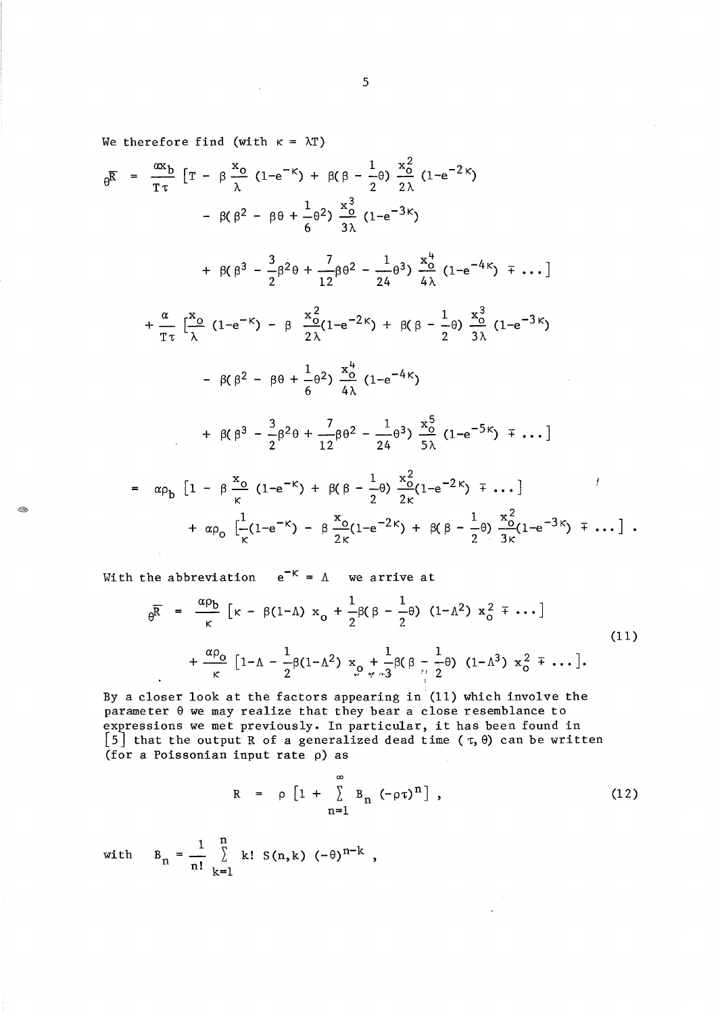We therefore find (with  $\kappa = \lambda T$ )

$$
\theta^{\overline{K}} = \frac{\alpha x_{b}}{T \tau} \left[ T - \beta \frac{x_{0}}{\lambda} (1 - e^{-K}) + \beta(\beta - \frac{1}{2}\theta) \frac{x_{0}^{2}}{2\lambda} (1 - e^{-2K}) \right. \\
\left. - \beta(\beta^{2} - \beta\theta + \frac{1}{6}\theta^{2}) \frac{x_{0}^{3}}{3\lambda} (1 - e^{-3K}) \right. \\
\left. + \beta(\beta^{3} - \frac{3}{2}\beta^{2}\theta + \frac{7}{12}\beta\theta^{2} - \frac{1}{24}\theta^{3}) \frac{x_{0}^{4}}{4\lambda} (1 - e^{-4K}) \mp \dots \right] \\
+ \frac{\alpha}{T \tau} \left[ \frac{x_{0}}{\lambda} (1 - e^{-K}) - \beta \frac{x_{0}^{2}}{2\lambda} (1 - e^{-2K}) + \beta(\beta - \frac{1}{2}\theta) \frac{x_{0}^{3}}{3\lambda} (1 - e^{-3K}) \right. \\
\left. - \beta(\beta^{2} - \beta\theta + \frac{1}{6}\theta^{2}) \frac{x_{0}^{4}}{4\lambda} (1 - e^{-4K}) \right. \\
\left. + \beta(\beta^{3} - \frac{3}{2}\beta^{2}\theta + \frac{7}{12}\beta\theta^{2} - \frac{1}{24}\theta^{3}) \frac{x_{0}^{5}}{5\lambda} (1 - e^{-5K}) \mp \dots \right]
$$
\n
$$
= \alpha \rho_{b} \left[ 1 - \beta \frac{x_{0}}{\kappa} (1 - e^{-K}) + \beta(\beta - \frac{1}{2}\theta) \frac{x_{0}^{2}}{2\kappa} (1 - e^{-2K}) \mp \dots \right] \\
+ \alpha \rho_{0} \left[ \frac{1}{\kappa} (1 - e^{-K}) - \beta \frac{x_{0}}{2\kappa} (1 - e^{-2K}) + \beta(\beta - \frac{1}{2}\theta) \frac{x_{0}^{2}}{3\kappa} (1 - e^{-3K}) \mp \dots \right] .
$$

With the abbreviation  $e^{-K} = \Lambda$  we arrive at

- O.

$$
\Theta_{\overline{\mathsf{R}}} = \frac{\alpha \rho_{\mathsf{b}}}{\kappa} \left[ \kappa - \beta (1 - \Lambda) \right] x_{\mathsf{0}} + \frac{1}{2} \beta (\beta - \frac{1}{2} \theta) (1 - \Lambda^2) x_{\mathsf{0}}^2 \overline{\mathsf{F}} \cdots \right]
$$
\n
$$
+ \frac{\alpha \rho_{\mathsf{0}}}{\kappa} \left[ 1 - \Lambda - \frac{1}{2} \beta (1 - \Lambda^2) x_{\mathsf{0}} + \frac{1}{2} \beta (\beta - \frac{1}{2} \theta) (1 - \Lambda^3) x_{\mathsf{0}}^2 \overline{\mathsf{F}} \cdots \right].
$$
\n(11)

By a closer look at the factors appearing in  $(11)$  which involve the parameter 9 we may realize that they bear a close resemblance to expressions we met previously. In particular, it has been found in [5] that the output R of a generalized dead time  $(\tau, \theta)$  can be written (for a Poissonian input rate p) as

$$
R = \rho \left[ 1 + \sum_{n=1}^{\infty} B_n \left( -\rho \tau \right)^n \right], \qquad (12)
$$

with 
$$
B_n = \frac{1}{n!} \sum_{k=1}^{n} k! S(n,k) (-\theta)^{n-k}
$$
,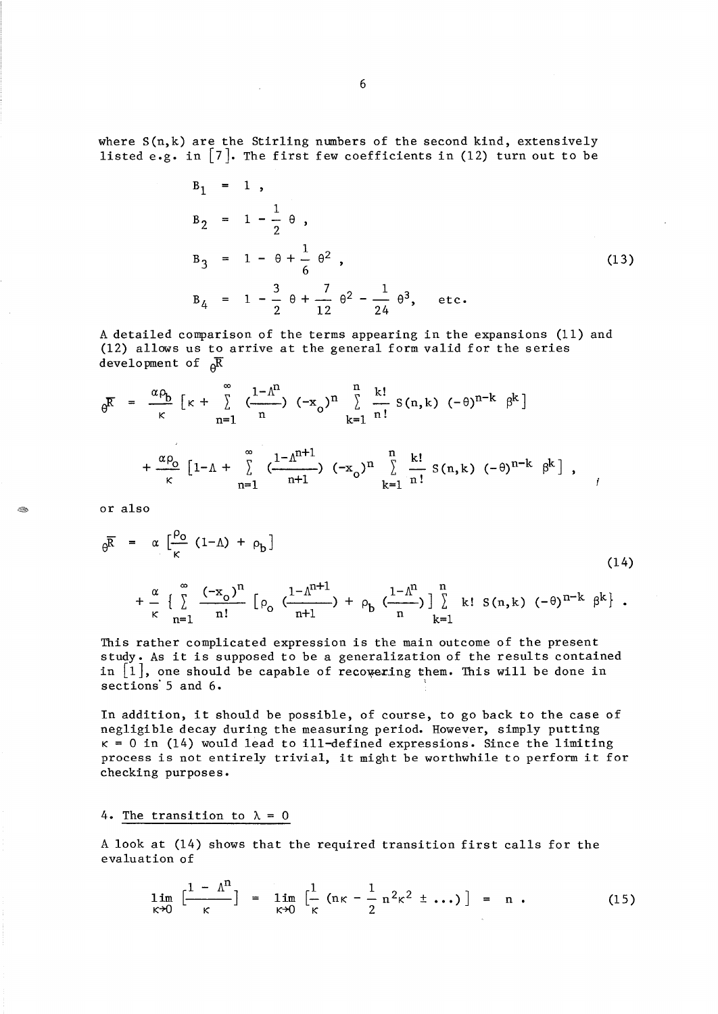where  $S(n,k)$  are the Stirling numbers of the second kind, extensively listed e.g. in  $\lceil 7 \rceil$ . The first few coefficients in (12) turn out to be

 $P = -1$ 

$$
B_1 = 1,
$$
  
\n
$$
B_2 = 1 - \frac{1}{2} \theta,
$$
  
\n
$$
B_3 = 1 - \theta + \frac{1}{6} \theta^2,
$$
  
\n
$$
B_4 = 1 - \frac{3}{2} \theta + \frac{7}{12} \theta^2 - \frac{1}{24} \theta^3, \text{ etc.}
$$
\n(13)

A detailed comparison of the terms appearing in the expansions (11) and  $(12)$  allows us to arrive at the general form valid for the series development of  $_{\alpha}$  $\overline{R}$ 

$$
\theta^{\overline{K}} = \frac{\alpha \rho_b}{\kappa} \left[ \kappa + \sum_{n=1}^{\infty} \frac{1 - \Lambda^n}{n} \right] (-x_o)^n \sum_{k=1}^n \frac{k!}{n!} S(n,k) (-\theta)^{n-k} \beta^k
$$
\n
$$
+ \frac{\alpha \rho_o}{\kappa} \left[ 1 - \Lambda + \sum_{n=1}^{\infty} \frac{1 - \Lambda^{n+1}}{n+1} \right] (-x_o)^n \sum_{k=1}^n \frac{k!}{n!} S(n,k) (-\theta)^{n-k} \beta^k ,
$$

or also

A.

$$
\theta^{\overline{R}} = \alpha \left[ \frac{\rho_0}{\kappa} (1-\Lambda) + \rho_b \right]
$$
\n
$$
+ \frac{\alpha}{\kappa} \left\{ \sum_{n=1}^{\infty} \frac{(-x_0)^n}{n!} \left[ \rho_0 \left( \frac{1-\Lambda^{n+1}}{n+1} \right) + \rho_b \left( \frac{1-\Lambda^n}{n} \right) \right] \sum_{k=1}^n k! S(n,k) (-\theta)^{n-k} \beta^k \right\}.
$$
\n(14)

This rather complicated expression is the main outcome of the present study. As it is supposed to be a generalization of the results contained in  $[1]$ , one should be capable of recovering them. This will be done in sections 5 and 6.

In addition, it should be possible, of course, to go back to the case of negligible decay during the measuring period. However, simply putting  $\kappa = 0$  in (14) would lead to ill-defined expressions. Since the limiting process is not entirely trivial, it might be worthwhile to perform it for checking purposes.

4. The transition to  $\lambda = 0$ 

A look at (14) shows that the required transition first calls for the evaluation of

$$
\lim_{\kappa \to 0} \left[ \frac{1 - \Lambda^{n}}{\kappa} \right] = \lim_{\kappa \to 0} \left[ \frac{1}{\kappa} \left( n\kappa - \frac{1}{2} n^{2}\kappa^{2} \pm \ldots \right) \right] = n . \tag{15}
$$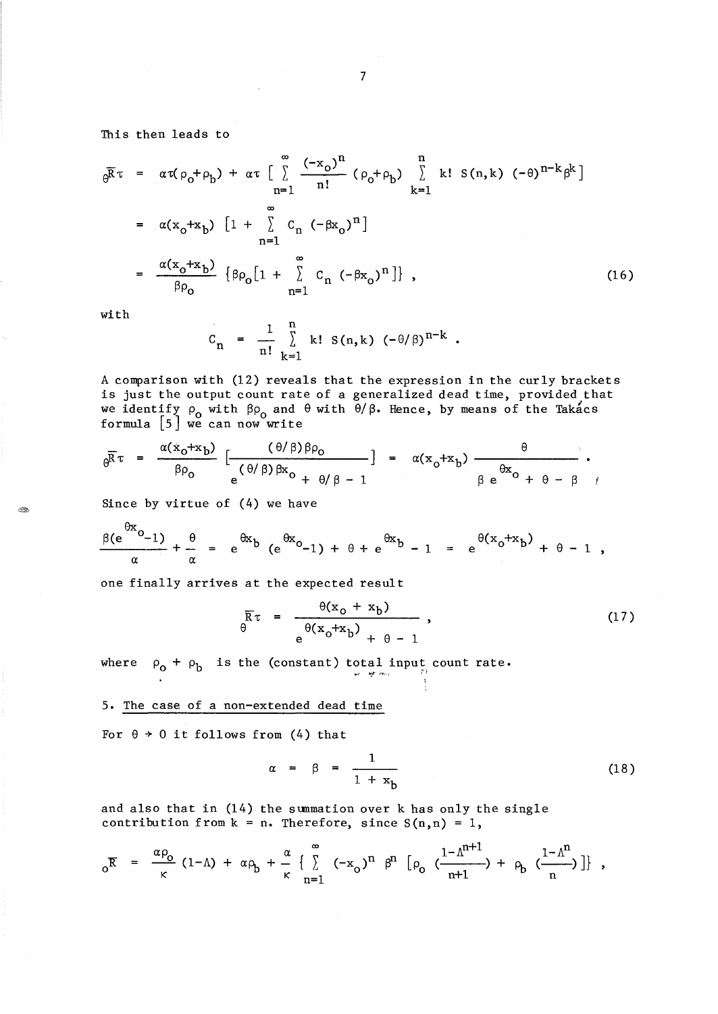This then leads to

$$
\theta^{\overline{R}\tau} = \alpha \tau (\rho_0 + \rho_b) + \alpha \tau \left[ \sum_{n=1}^{\infty} \frac{(-x_0)^n}{n!} (\rho_0 + \rho_b) \sum_{k=1}^n k! S(n,k) (-\theta)^{n-k} \beta^k \right]
$$
  
\n
$$
= \alpha (x_0 + x_b) \left[ 1 + \sum_{n=1}^{\infty} C_n (-\beta x_0)^n \right]
$$
  
\n
$$
= \frac{\alpha (x_0 + x_b)}{\beta \rho_0} {\beta \rho_0} [1 + \sum_{n=1}^{\infty} C_n (-\beta x_0)^n] , \qquad (16)
$$

with

 $\otimes$ 

$$
C_n = \frac{1}{n!} \sum_{k=1}^{n} k! S(n,k) (-\theta/\beta)^{n-k}
$$
.

A comparison with (12) reveals that the expression in the curly brackets is just the output count rate of a generalized dead time, provided that we identify  $\rho_{o}$  with  $\beta\rho_{o}$  and  $\theta$  with  $\theta/\beta$ . Hence, by means of the Takacs formula [5] we can now write

$$
\theta^{\overline{R}\tau} = \frac{\alpha(x_0+x_0)}{\beta \rho_0} \left[ \frac{(\theta/\beta)\beta \rho_0}{e^{(\theta/\beta)\beta x_0} + \theta/\beta - 1} \right] = \alpha(x_0+x_0) \frac{\theta}{\beta e^{\theta x_0} + \theta - \beta},
$$

Since by virtue of (4) we have

$$
\frac{\beta(e^{i\theta x}o_{-1})}{\alpha} + \frac{\theta}{\alpha} = e^{i\theta x}b(e^{i\theta x}o_{-1}) + \theta + e^{i\theta x}b - 1 = e^{i\theta (x_0 + x_0)} + \theta - 1,
$$

one finally arrives at the expected result

$$
\overline{R}\tau = \frac{\theta(x_0 + x_b)}{e^{\theta(x_0 + x_b)} + \theta - 1},
$$
\n(17)

where  $\rho_0 + \rho_b$  is the (constant) total input count rate.

5. The case of a non-extended dead time

For  $\theta \rightarrow 0$  it follows from (4) that

$$
\alpha = \beta = \frac{1}{1 + x_b} \tag{18}
$$

and also that in (14) the summation over k has only the single contribution from  $k = n$ . Therefore, since  $S(n,n) = 1$ ,

$$
{}_{0}\overline{R} = \frac{\alpha \rho_{o}}{\kappa} (1-\Lambda) + \alpha \rho_{b} + \frac{\alpha}{\kappa} \left\{ \sum_{n=1}^{\infty} (-x_{o})^{n} \beta^{n} \left[ \rho_{o} \left( \frac{1-\Lambda^{n+1}}{n+1} \right) + \rho_{b} \left( \frac{1-\Lambda^{n}}{n} \right) \right] \right\},
$$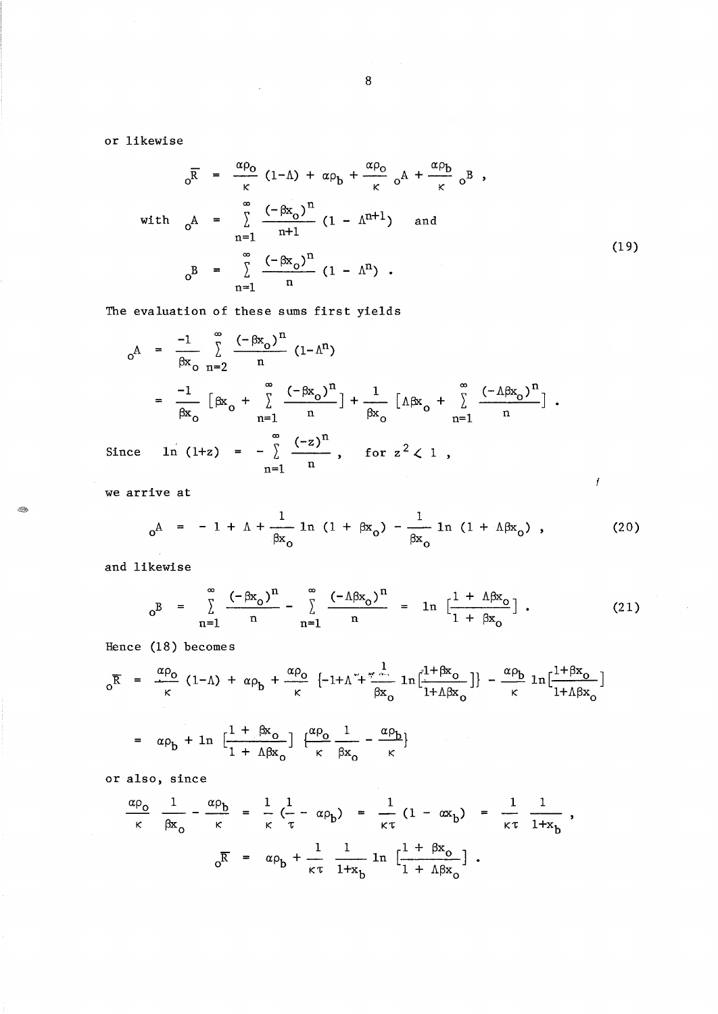or likewise

$$
\overline{\rho} = \frac{\alpha \rho_0}{\kappa} (1-\Lambda) + \alpha \rho_b + \frac{\alpha \rho_0}{\kappa} \rho^A + \frac{\alpha \rho_b}{\kappa} \rho^B,
$$
  
with 
$$
\rho^A = \sum_{n=1}^{\infty} \frac{(-\beta x_0)^n}{n+1} (1 - \Lambda^{n+1}) \quad \text{and}
$$

$$
\rho^B = \sum_{n=1}^{\infty} \frac{(-\beta x_0)^n}{n} (1 - \Lambda^n).
$$
 (19)

The evaluation of these sums first yields

 $\sim$   $\sim$ 

$$
o^{\mathcal{A}} = \frac{-1}{\beta x} \sum_{n=2}^{\infty} \frac{(-\beta x_0)^n}{n} (1 - \Lambda^n)
$$
  
\n
$$
= \frac{-1}{\beta x_0} \left[ \beta x_0 + \sum_{n=1}^{\infty} \frac{(-\beta x_0)^n}{n} \right] + \frac{1}{\beta x_0} \left[ \Lambda \beta x_0 + \sum_{n=1}^{\infty} \frac{(-\Lambda \beta x_0)^n}{n} \right].
$$
  
\nSince  $\ln (1+z) = -\sum_{n=1}^{\infty} \frac{(-z)^n}{n}$ , for  $z^2 < 1$ ,

we arrive at

- 190

$$
0^{\text{A}} = -1 + \Lambda + \frac{1}{\beta x_0} \ln (1 + \beta x_0) - \frac{1}{\beta x_0} \ln (1 + \Lambda \beta x_0) , \qquad (20)
$$

and likewise

$$
{}_{0}B = \sum_{n=1}^{\infty} \frac{(-\beta x_{0})^{n}}{n} - \sum_{n=1}^{\infty} \frac{(-\Delta \beta x_{0})^{n}}{n} = \ln \left[ \frac{1 + \Delta \beta x_{0}}{1 + \beta x_{0}} \right].
$$
 (21)

Hence (18) becomes

$$
{}_{0}\overline{R} = \frac{\alpha \rho_{0}}{\kappa} (1-\Lambda) + \alpha \rho_{b} + \frac{\alpha \rho_{0}}{\kappa} \left\{-1+\Lambda + \frac{1}{\beta x_{0}} \ln \left[\frac{1+\beta x_{0}}{1+\Lambda\beta x_{0}}\right]\right\} - \frac{\alpha \rho_{b}}{\kappa} \ln \left[\frac{1+\beta x_{0}}{1+\Lambda\beta x_{0}}\right]
$$

$$
= \alpha \rho_{b} + \ln \left[\frac{1+\beta x_{0}}{1+\Lambda\beta x_{0}}\right] \left\{\frac{\alpha \rho_{0}}{\kappa} \frac{1}{\beta x_{0}} - \frac{\alpha \rho_{b}}{\kappa}\right\}
$$

or also, since

$$
\frac{\alpha \rho_o}{\kappa} \frac{1}{\beta x_o} - \frac{\alpha \rho_b}{\kappa} = \frac{1}{\kappa} \left( \frac{1}{\tau} - \alpha \rho_b \right) = \frac{1}{\kappa \tau} (1 - \alpha x_b) = \frac{1}{\kappa \tau} \frac{1}{1 + x_b} ,
$$

$$
\frac{\partial}{\partial R} = \alpha \rho_b + \frac{1}{\kappa \tau} \frac{1}{1 + x_b} \ln \left[ \frac{1 + \beta x_o}{1 + \Delta \beta x_o} \right] .
$$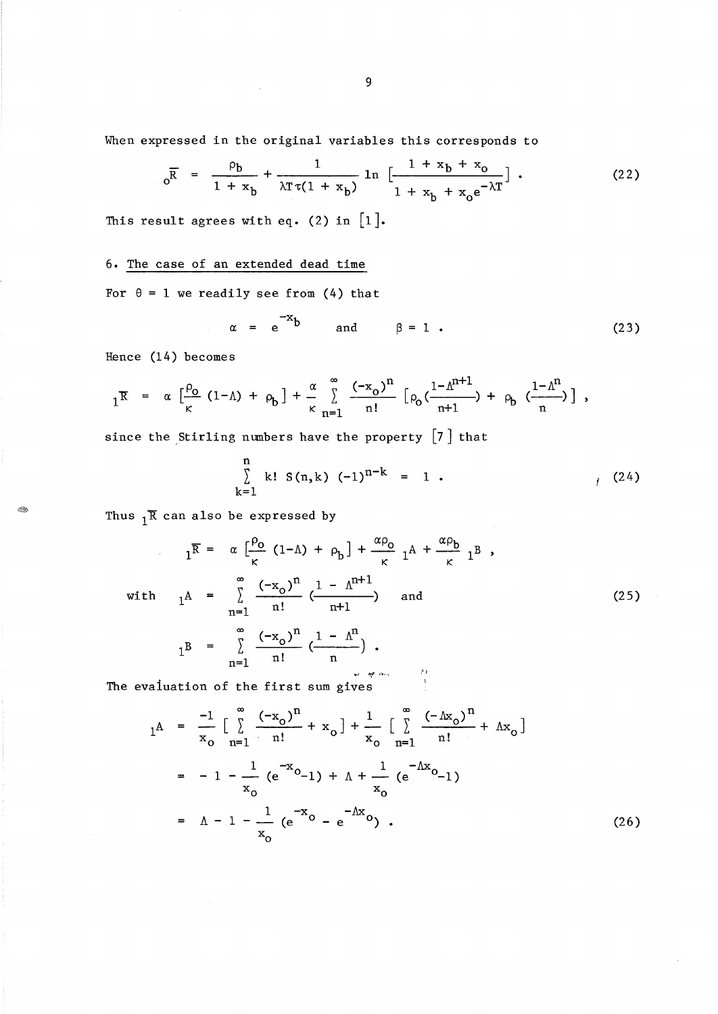When expressed in the original variables this corresponds to

$$
0^{\overline{R}} = \frac{\rho_b}{1 + x_b} + \frac{1}{\lambda \tau \tau (1 + x_b)} \ln \left[ \frac{1 + x_b + x_o}{1 + x_b + x_o e^{-\lambda \tau}} \right].
$$
 (22)

This result agrees with eq. (2) in  $[1]$ .

6. The case of an extended dead time

For  $\theta = 1$  we readily see from (4) that

$$
\alpha = e^{-X}b \qquad \text{and} \qquad \beta = 1 . \tag{23}
$$

Hence (14) becomes

Ø.

$$
1^{\mathbb{R}} = \alpha \left[ \frac{\rho_{o}}{\kappa} (1-\Lambda) + \rho_{b} \right] + \frac{\alpha}{\kappa} \sum_{n=1}^{\infty} \frac{(-x_{o})^{n}}{n!} \left[ \rho_{o} \left( \frac{1-\Lambda^{n+1}}{n+1} \right) + \rho_{b} \left( \frac{1-\Lambda^{n}}{n} \right) \right],
$$

since the Stirling numbers have the property [7] that

$$
\sum_{k=1}^{n} k! S(n,k) (-1)^{n-k} = 1.
$$
 (24)

Thus  $1^{\overline{R}}$  can also be expressed by

$$
1^{\overline{R}} = \alpha \left[ \frac{\rho_0}{\kappa} (1-\Lambda) + \rho_b \right] + \frac{\alpha \rho_0}{\kappa} 1^{\Lambda} + \frac{\alpha \rho_b}{\kappa} 1^{\overline{B}},
$$
  
with 
$$
1^{\Lambda} = \sum_{n=1}^{\infty} \frac{(-x_0)^n}{n!} \left( \frac{1 - \Lambda^{n+1}}{n+1} \right) \text{ and}
$$
 (25)

$$
1^{B} = \sum_{n=1}^{\infty} \frac{(-x_{0})^{n}}{n!} \left(\frac{1 - \Lambda^{n}}{n}\right).
$$

" **"',,.** , ... , ;Ji The evaluation of the first sum gives

$$
1^{\mathbf{A}} = \frac{-1}{x_0} \left[ \sum_{n=1}^{\infty} \frac{(-x_0)^n}{n!} + x_0 \right] + \frac{1}{x_0} \left[ \sum_{n=1}^{\infty} \frac{(-\Delta x_0)^n}{n!} + \Delta x_0 \right]
$$
  

$$
= -1 - \frac{1}{x_0} (e^{-x_0} - 1) + \Delta + \frac{1}{x_0} (e^{-\Delta x} - 1)
$$
  

$$
= \Delta - 1 - \frac{1}{x_0} (e^{-x_0} - e^{-\Delta x} - 1) \qquad (26)
$$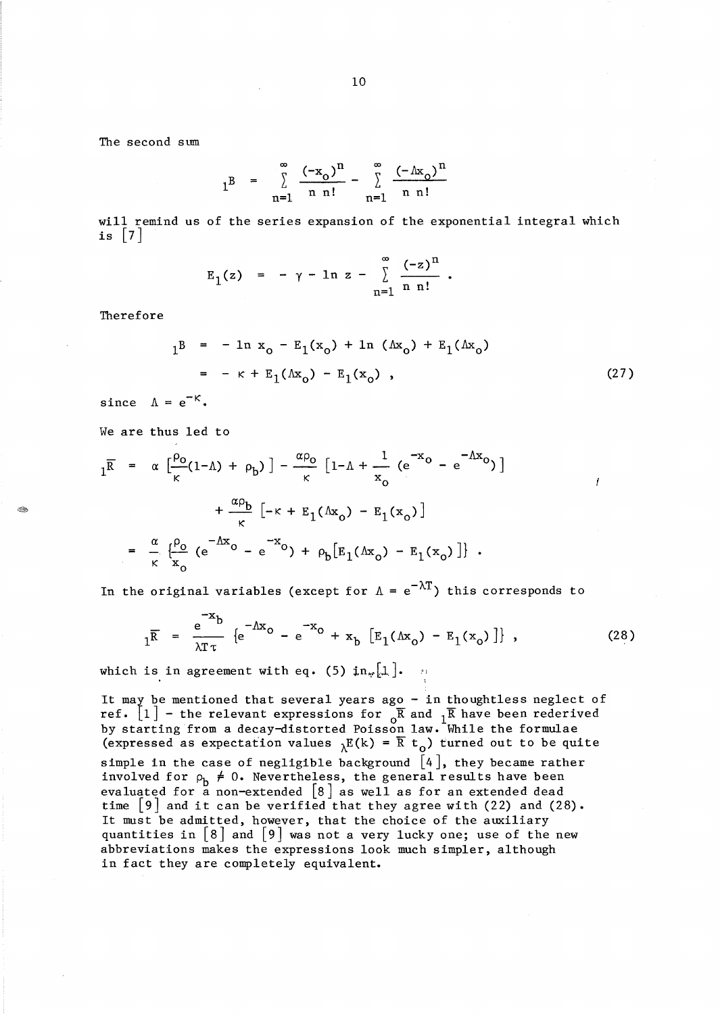10

The second sum

$$
1^{B} = \sum_{n=1}^{\infty} \frac{(-x_0)^n}{n n!} - \sum_{n=1}^{\infty} \frac{(-\Delta x_0)^n}{n n!}
$$

will remind us of the series expansion of the exponential integral which is  $|7|$ 

$$
E_1(z) = -\gamma - \ln z - \sum_{n=1}^{\infty} \frac{(-z)^n}{n n!}
$$
.

Therefore

 $\mathcal{B}^{\mathcal{B}}$ 

$$
1^B = - \ln x_0 - E_1(x_0) + \ln (\Delta x_0) + E_1(\Delta x_0)
$$
  
= - \kappa + E\_1(\Delta x\_0) - E\_1(x\_0) , (27)

f

since  $\Lambda = e^{-K}$ .

We are thus led to

$$
1^{\overline{R}} = \alpha \left[ \frac{\rho_{o}}{\kappa} (1 - \Lambda) + \rho_{b} \right] - \frac{\alpha \rho_{o}}{\kappa} \left[ 1 - \Lambda + \frac{1}{x_{o}} \left( e^{-x_{o}} - e^{-\Lambda x_{o}} \right) \right] + \frac{\alpha \rho_{b}}{\kappa} \left[ -\kappa + E_{1} (\Lambda x_{o}) - E_{1} (x_{o}) \right]
$$
  

$$
= \frac{\alpha}{\kappa} \left\{ \frac{\rho_{o}}{\kappa} \left( e^{-\Lambda x_{o}} - e^{-x_{o}} \right) + \rho_{b} \left[ E_{1} (\Lambda x_{o}) - E_{1} (x_{o}) \right] \right\}.
$$

In the original variables (except for  $\Lambda = e^{-\lambda T}$ ) this corresponds to

$$
I_{\overline{R}} = \frac{e^{-x}b}{\lambda T \tau} \left\{ e^{-\Lambda x_0} - e^{-x_0} + x_b \left[ E_1(\Lambda x_0) - E_1(x_0) \right] \right\},
$$
 (28)

which is in agreement with eq. (5)  $\text{in}_{\pi}[\perp]$ .  $\cdots$ 

It may be mentioned that several years ago - in thoughtless neglect of ref.  $[1]$  - the relevant expressions for  $\overline{R}$  and  $\overline{1}R$  have been rederived by starting from a decay-distorted Poisson law. While the formulae (expressed as expectation values  $_{\lambda}E(k) = \overline{R} t_{\Omega}$ ) turned out to be quite simple in the case of negligible background  $[4]$ , they became rather involved for  $\rho_b \neq 0$ . Nevertheless, the general results have been evaluated for a non-extended [8] as well as for an extended dead time  $\lfloor 9 \rfloor$  and it can be verified that they agree with (22) and (28). It must be admitted, however, that the choice of the auxiliary quantities in  $\lfloor 8 \rfloor$  and  $\lfloor 9 \rfloor$  was not a very lucky one; use of the new abbreviations makes the expressions look much simpler, although in fact they are completely equivalent.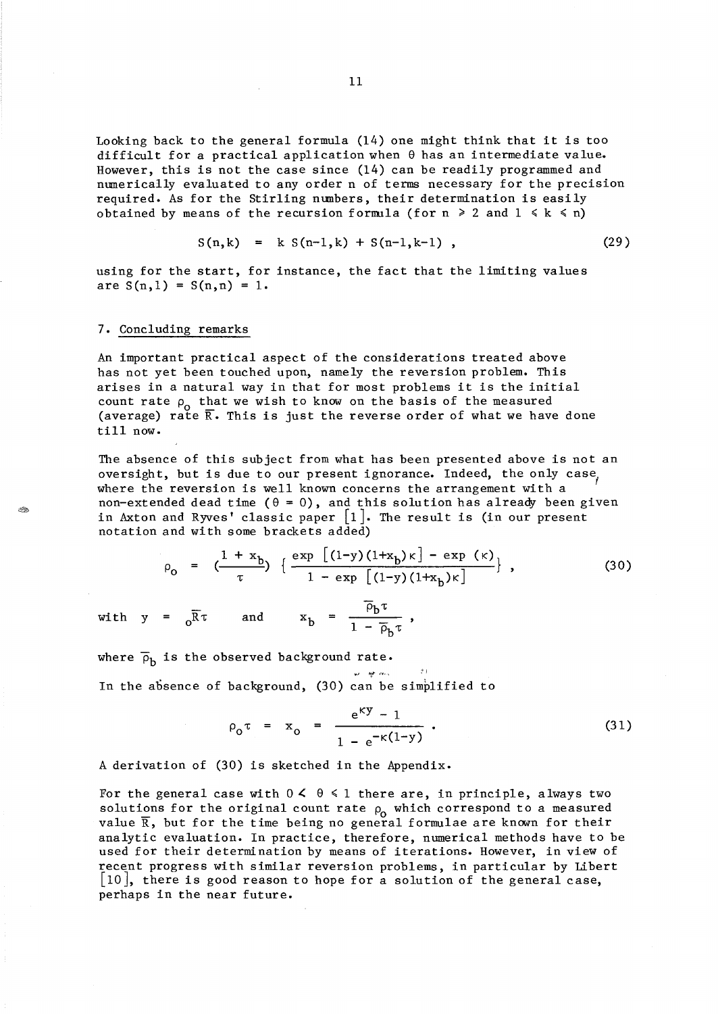Looking back to the general formula (14) one might think that it is too difficult for a practical application when  $\theta$  has an intermediate value. However, this is not the case since (14) can be readily programmed and numerically evaluated to any order n of terms necessary for the precision required. As for the Stirling numbers, their determination is easily obtained by means of the recursion formula (for  $n \geq 2$  and  $1 \leq k \leq n$ )

$$
S(n,k) = k S(n-1,k) + S(n-1,k-1) , \qquad (29)
$$

using for the start, for instance, the fact that the limiting values are  $S(n,1) = S(n,n) = 1$ .

## 7. Concluding remarks

Ó.

An important practical aspect of the considerations treated above has not yet been touched upon, namely the reversion problem. This arises in a natural way in that for most problems it is the initial count rate  $\rho_0$  that we wish to know on the basis of the measured (average) rate  $\overline{R}$ . This is just the reverse order of what we have done till now.

The absence of this subject from what has been presented above is not an oversight, but is due to our present ignorance. Indeed, the only case, where the reversion is well known concerns the arrangement with a non-extended dead time ( $\theta = 0$ ), and this solution has already been given in Axton and Ryves' classic paper  $\lfloor 1 \rfloor$ . The result is (in our present notation and wi th some brackets added)

$$
\rho_0 = \left( \frac{1 + x_b}{\tau} \right) \left\{ \frac{\exp \left[ (1 - y)(1 + x_b) \kappa \right] - \exp \left( \kappa \right)}{1 - \exp \left[ (1 - y)(1 + x_b) \kappa \right]} \right\},
$$
(30)

with  $y = \overline{B} \tau$  and  $x_b = \frac{\rho_b \tau}{1 - \overline{B}}$  $1 - \overline{p}_b \tau$ 

where  $\overline{\rho}_h$  is the observed background rate.

In the absence of background, (30) can be simplified to

$$
\rho_0 \tau = x_0 = \frac{e^{ky} - 1}{1 - e^{-k(1-y)}}.
$$
\n(31)

A derivation of (30) is sketched in the Appendix.

For the general case with  $0 \le \theta \le 1$  there are, in principle, always two solutions for the original count rate  $\rho_0$  which correspond to a measured value  $\overline{R}$ , but for the time being no general formulae are known for their analytic evaluation. In practice, therefore, numerical methods have to be used for their determination by means of iterations. However, in view of recent progress with similar reversion problems, in particular by Libert [10], there is good reason to hope for a solution of the general case, perhaps in the near future.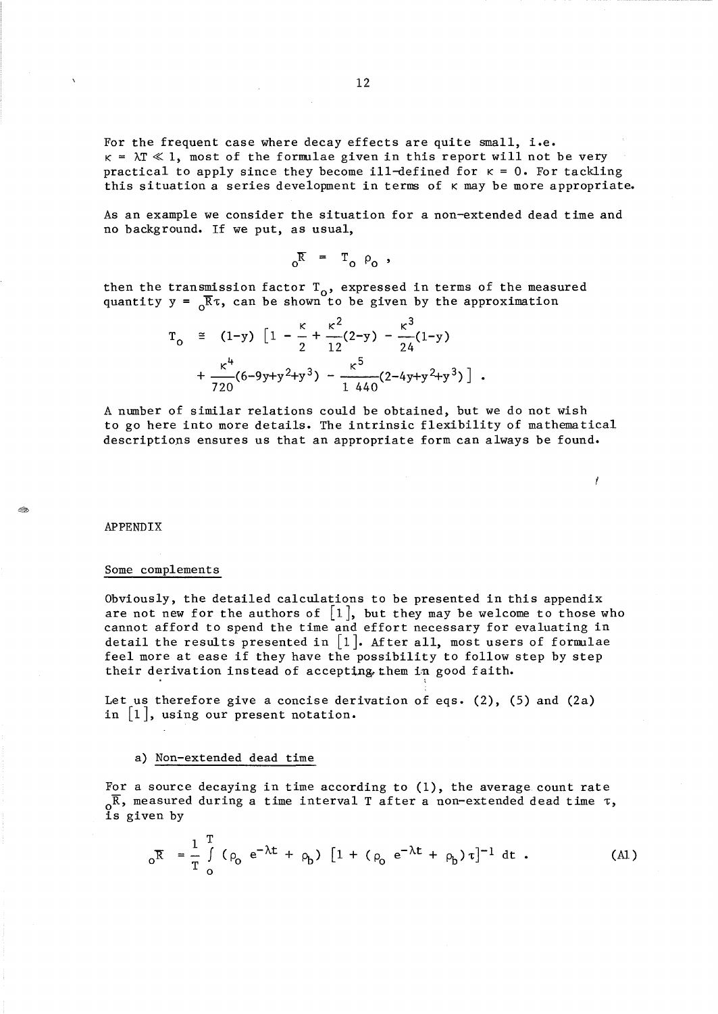For the frequent case where decay effects are quite small, i.e.  $\kappa = \lambda T \ll 1$ , most of the formulae given in this report will not be very practical to apply since they become ill-defined for  $\kappa = 0$ . For tackling this situation a series development in terms of K may be more appropriate.

As an example we consider the situation for a non-extended dead time and no background. If we put, as usual,

 $\delta_{\rm R}$  =  $T_{\rm o}$   $\rho_{\rm o}$  ,

then the transmission factor  $T_0$ , expressed in terms of the measured quantity  $y = \sqrt{R} \tau$ , can be shown to be given by the approximation

$$
T_0 \cong (1-y) \left[ 1 - \frac{\kappa}{2} + \frac{\kappa^2}{12} (2-y) - \frac{\kappa^3}{24} (1-y) + \frac{\kappa^4}{720} (6-9y+y^2+y^3) - \frac{\kappa^5}{1440} (2-4y+y^2+y^3) \right].
$$

A number of similar relations could be obtained, but we do not wish to go here into more details. The intrinsic flexibility of mathematical descriptions ensures us that an appropriate form can always be found.

I

APPENDIX

t C.

#### Some complements

Obviously, the detailed calculations to be presented in this appendix are not new for the authors of  $[1]$ , but they may be welcome to those who cannot afford to spend the time and effort necessary for evaluating in detail the results presented in [1]. After all, most users of formulae feel more at ease if they have the possibility to follow step by step their derivation instead of accepting them in good faith.

Let us therefore give a concise derivation of eqs. (2), (5) and (2a) in  $|1|$ , using our present notation.

## a) Non-extended dead time

For a source decaying in time according to  $(1)$ , the average count rate  $\alpha^{\overline{R}}$ , measured during a time interval T after a non-extended dead time  $\tau$ , o<br>is given by

$$
_{0}\bar{R} = \frac{1}{T} \int_{0}^{T} (\rho_{0} e^{-\lambda t} + \rho_{b}) [1 + (\rho_{0} e^{-\lambda t} + \rho_{b}) \tau]^{-1} dt
$$
 (A1)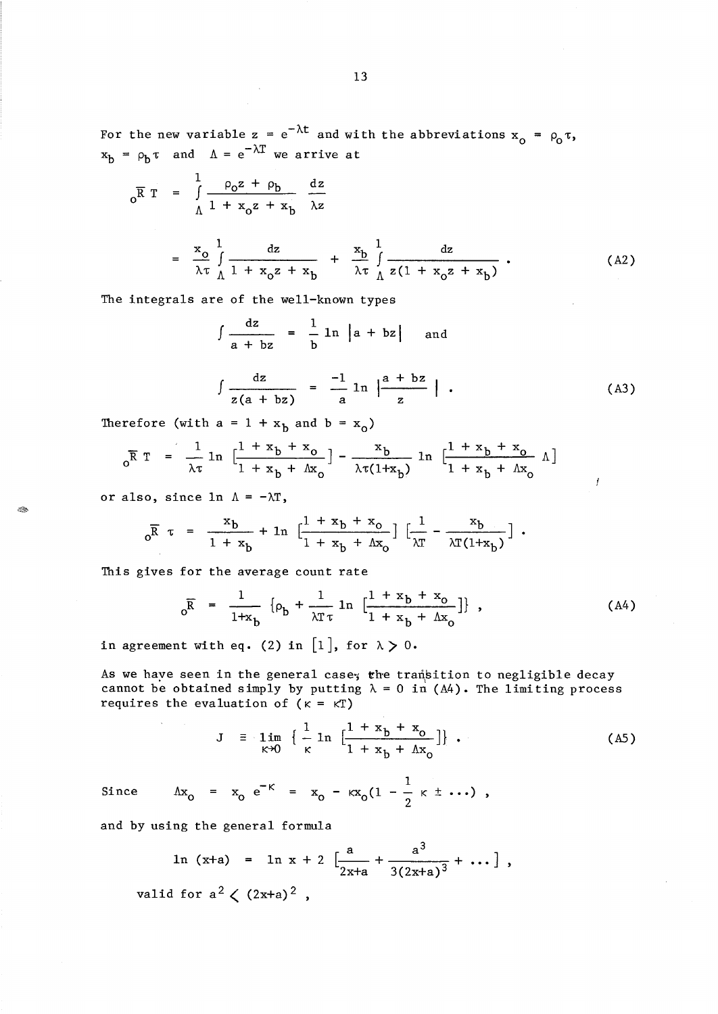For the new variable  $z = e^{-\lambda t}$  and with the abbreviations  $x_0 = \rho_0 \tau$ ,  $x_b = \rho_b \tau$  and  $\Lambda = e^{-\lambda T}$  we arrive at

$$
o^{\overline{R}T} = \int_{\Lambda}^{1} \frac{\rho_0 z + \rho_b}{1 + x_0 z + x_b} \frac{dz}{\lambda z}
$$
  

$$
= \frac{x_0}{\lambda \tau} \int_{\Lambda}^{1} \frac{dz}{1 + x_0 z + x_b} + \frac{x_b}{\lambda \tau} \int_{\Lambda}^{1} \frac{dz}{z(1 + x_0 z + x_b)}.
$$
 (A2)

The integrals are of the well-known types

 $\sim$ 

$$
\int \frac{dz}{a + bz} = \frac{1}{b} \ln |a + bz| \text{ and}
$$

$$
\int \frac{dz}{z(a + bz)} = -\frac{1}{a} \ln \left| \frac{a + bz}{z} \right| \quad . \tag{A3}
$$

 $\boldsymbol{f}$ 

Therefore (with  $a = 1 + x_b$  and  $b = x_o$ )

$$
\rho \overline{R} T = \frac{1}{\lambda \tau} \ln \left[ \frac{1 + x_b + x_o}{1 + x_b + \Lambda x_o} \right] - \frac{x_b}{\lambda \tau (1 + x_b)} \ln \left[ \frac{1 + x_b + x_o}{1 + x_b + \Lambda x_o} \Lambda \right]
$$

or also, since  $ln \Lambda = -\lambda T$ ,

 $\mathcal{B}$ 

$$
_{0}\overline{R} \tau = \frac{x_{b}}{1 + x_{b}} + \ln \left[ \frac{1 + x_{b} + x_{o}}{1 + x_{b} + \Delta x_{o}} \right] \left[ \frac{1}{\lambda T} - \frac{x_{b}}{\lambda T (1 + x_{b})} \right].
$$

This gives for the average count rate

$$
_{0}\overline{R} = \frac{1}{1+x_{b}} \left\{ \rho_{b} + \frac{1}{\lambda T \tau} \ln \left[ \frac{1+x_{b}+x_{o}}{1+x_{b}+\Lambda x_{o}} \right] \right\},
$$
 (A4)

in agreement with eq. (2) in [1], for  $\lambda > 0$ .

As we have seen in the general case, the transition to negligible decay cannot be obtained simply by putting  $\lambda = 0$  in (A4). The limiting process requires the evaluation of  $(\kappa = \kappa T)$ 

$$
J = \lim_{\kappa \to 0} \left\{ \frac{1}{\kappa} \ln \left[ \frac{1 + x_b + x_o}{1 + x_b + \Lambda x_o} \right] \right\}.
$$
 (A5)

Since 
$$
\Delta x_0 = x_0 e^{-\kappa} = x_0 - \kappa x_0 (1 - \frac{1}{2} \kappa \pm \cdots)
$$
,

and by using the general formula

 $\mathcal{A}^{\mathcal{A}}$ 

$$
\ln (x+a) = \ln x + 2 \left[ \frac{a}{2x+a} + \frac{a^3}{3(2x+a)^3} + \dots \right],
$$
  
lid for  $a^2 / (2x+a)^2$ 

valid for  $a^2 \lt (2x+a)^2$ ,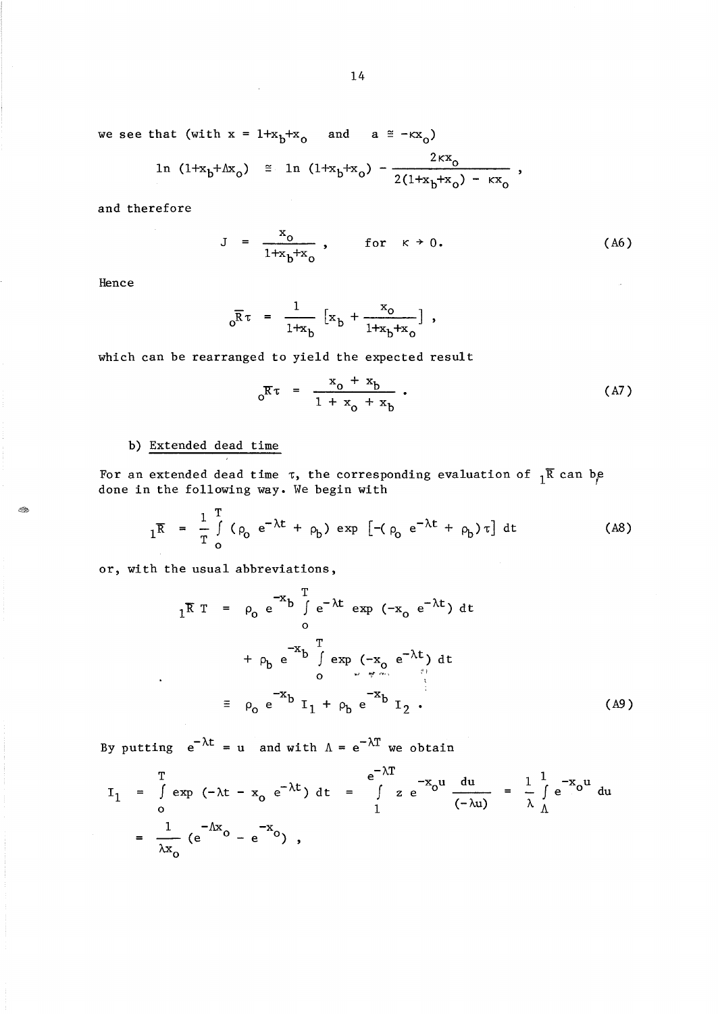we see that (with  $x = 1+x_b+x_0$ and  $a \equiv -kx_0$ )

$$
\ln (1+x_b+x_b) \approx \ln (1+x_b+x_b) - \frac{2\kappa x_0}{2(1+x_b+x_b) - \kappa x_0} \,,
$$

and therefore

$$
J = \frac{x_0}{1 + x_b + x_0}, \quad \text{for } \kappa \to 0.
$$
 (A6)

Hence

4.

$$
_{0}\overline{R}\tau = \frac{1}{1+x_{b}} [x_{b} + \frac{x_{0}}{1+x_{b}+x_{0}}],
$$

which can be rearranged to yield the expected result

$$
o^{\overline{K}\tau} = \frac{x_o + x_b}{1 + x_o + x_b} \,. \tag{A7}
$$

# b) Extended dead time

For an extended dead time  $\tau$ , the corresponding evaluation of  ${}_1\overline{R}$  can be done in the following way. We begin with

$$
{}_{1}\overline{R} = \frac{1}{T} \int_{0}^{T} (\rho_0 e^{-\lambda t} + \rho_b) \exp \left[ -(\rho_0 e^{-\lambda t} + \rho_b) \tau \right] dt
$$
 (A8)

or, with the usual abbreviations,

$$
{}_{1}\overline{R} T = \rho_{0} e^{-x} b \int_{0}^{T} e^{-\lambda t} \exp(-x_{0} e^{-\lambda t}) dt
$$
  
+  $\rho_{b} e^{-x} b \int_{0}^{T} \exp(-x_{0} e^{-\lambda t}) dt$   

$$
= \rho_{0} e^{-x} b I_{1} + \rho_{b} e^{-x} b I_{2}.
$$
 (A9)

By putting  $e^{-\lambda t} = u$  and with  $\Lambda = e^{-\lambda T}$  we obtain

$$
I_{1} = \int_{0}^{T} \exp(-\lambda t - x_{0} e^{-\lambda t}) dt = \int_{1}^{T} z e^{-x_{0}u} \frac{du}{(-\lambda u)} = \frac{1}{\lambda} \int_{0}^{1} e^{-x_{0}u} du
$$
  
=  $\frac{1}{\lambda x_{0}} (e^{-\Lambda x} - e^{-x_{0}}),$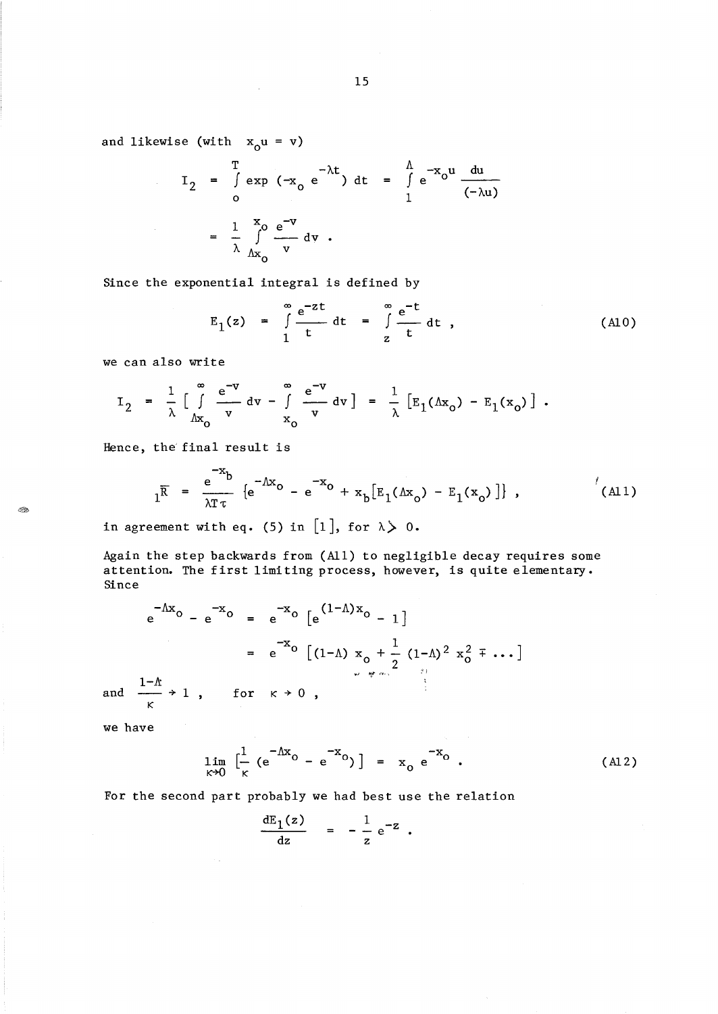and likewise (with  $x_0u = v$ )

$$
I_2 = \int_0^T \exp(-x_0 e^{-\lambda t}) dt = \int_1^{\Lambda} e^{-x_0 u} \frac{du}{(-\lambda u)}
$$
  

$$
= \frac{1}{\lambda} \int_{\Lambda x_0}^{x_0} \frac{e^{-v}}{v} dv.
$$

Since the exponential integral is defined by

 $\sim$   $\sim$ 

$$
E_1(z) = \int_{1}^{\infty} \frac{e^{-zt}}{t} dt = \int_{z}^{\infty} \frac{e^{-t}}{t} dt , \qquad (A10)
$$

we can also write

$$
I_2 = \frac{1}{\lambda} \left[ \int_{\Delta x_0}^{\infty} \frac{e^{-v}}{v} dv - \int_{x_0}^{\infty} \frac{e^{-v}}{v} dv \right] = \frac{1}{\lambda} \left[ E_1(\Delta x_0) - E_1(x_0) \right].
$$

Hence, the final result is

$$
{}_{1}\overline{R} = \frac{e^{-x}b}{\lambda T \tau} \left\{ e^{-\Lambda x} o - e^{-x} o + x_{b} [E_{1}(\Lambda x_{o}) - E_{1}(x_{o})] \right\},
$$
 (A11)

in agreement with eq. (5) in [1], for  $\lambda > 0$ .

 $\sim 10^{-1}$ 

 $\sim 10$ 

Again the step backwards from (All) to negligible decay requires some attention. The first limiting process, however, is quite elementary. Since

$$
e^{-\Lambda x}o - e^{-x}o = e^{-x}o[e^{(1-\Lambda)x}o - 1]
$$
  
=  $e^{-x}o[(1-\Lambda)x_{o} + \frac{1}{2}(1-\Lambda)^{2}x_{o}^{2} + \cdots]$   
and  $\frac{1-\Lambda}{\kappa} \to 1$ , for  $\kappa \to 0$ ,

we have

Œ

$$
\lim_{\kappa \to 0} \left[ \frac{1}{\kappa} \left( e^{-\Delta x} \right) - e^{-x} \right] = x_0 e^{-x}.
$$
 (A12)

 $\Delta\phi = 0.5$ 

For the second part probably we had best use the relation

$$
\frac{dE_1(z)}{dz} = -\frac{1}{z} e^{-z} .
$$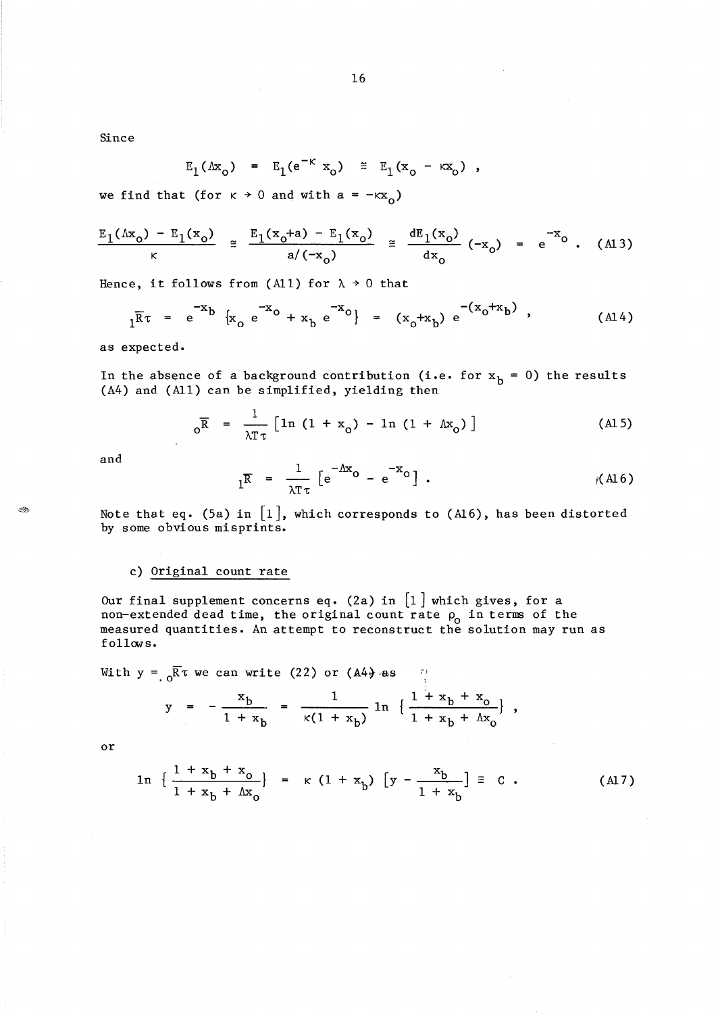Since

$$
E_1(\Delta x_o) = E_1(e^{-\kappa} x_o) \cong E_1(x_o - \kappa x_o) ,
$$

we find that (for  $\kappa \rightarrow 0$  and with  $a = -\kappa x_0$ )

$$
\frac{E_1(\Lambda x_o) - E_1(x_o)}{\kappa} \cong \frac{E_1(x_o + a) - E_1(x_o)}{a/(-x_o)} \cong \frac{dE_1(x_o)}{dx_o} (-x_o) = e^{-x_o} . \quad \text{(A13)}
$$

Hence, it follows from (All) for  $\lambda \rightarrow 0$  that

$$
1^{\overline{R}\tau} = e^{-x}b \{x_0 e^{-x_0} + x_b e^{-x_0}\} = (x_0 + x_b) e^{-(x_0 + x_b)},
$$
 (A14)

as expected.

In the absence of a background contribution (i.e. for  $x^b = 0$ ) the results (A4) and (All) can be simplified, yielding then

$$
{}_{0}\overline{R} = \frac{1}{\lambda T \tau} \left[ \ln \left( 1 + x_{0} \right) - \ln \left( 1 + \Lambda x_{0} \right) \right]
$$
 (A15)

and

t Ro

$$
{}_{1}\overline{R} = \frac{1}{\lambda T \tau} \left[ e^{-\Lambda x} \circ - e^{-x} \circ \right] , \qquad \qquad \text{(A16)}
$$

Note that eq. (5a) in  $[1]$ , which corresponds to (A16), has been distorted by some obvious misprints.

## c) Original count rate

Our final supplement concerns eq. (2a) in  $\left[1\right]$  which gives, for a non-extended dead time, the original count rate  $\rho_0$  in terms of the measured quantities. An attempt to reconstruct the solution may run as follows.

With  $y = \sqrt{R} \tau$  we can write (22) or (A4) as

$$
y = -\frac{x_b}{1 + x_b} = \frac{1}{\kappa(1 + x_b)} \ln \left\{ \frac{1 + x_b + x_o}{1 + x_b + \Delta x_o} \right\},
$$

or

$$
\ln \left\{ \frac{1 + x_b + x_o}{1 + x_b + \Delta x_o} \right\} = \kappa (1 + x_b) \left[ y - \frac{x_b}{1 + x_b} \right] \equiv c . \tag{A17}
$$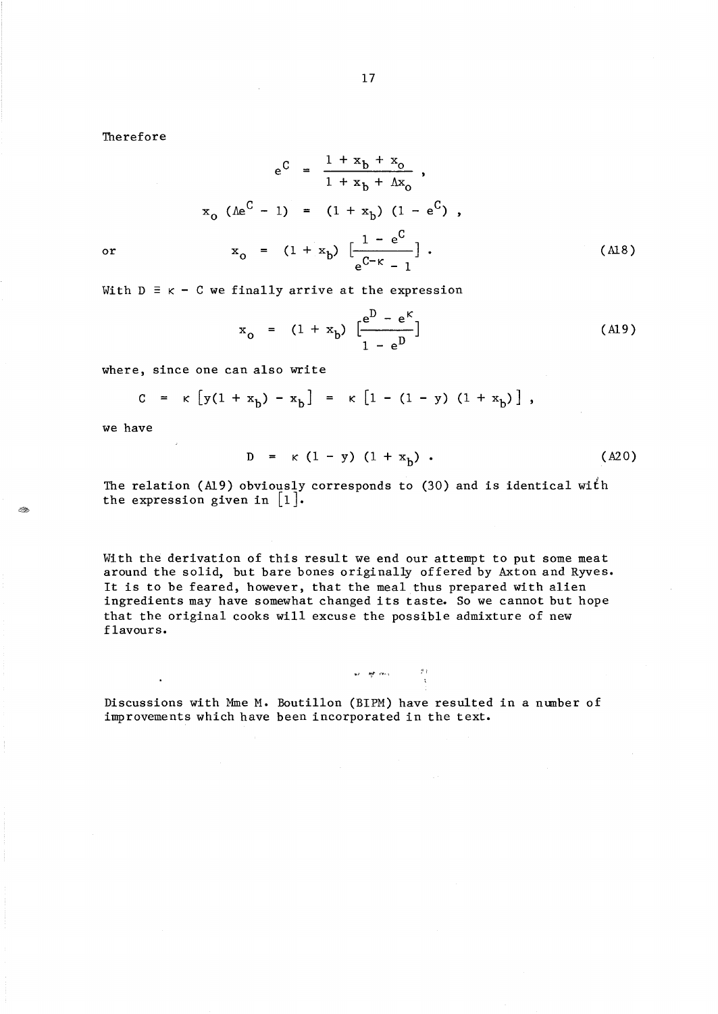Therefore

$$
e^{C} = \frac{1 + x_{b} + x_{o}}{1 + x_{b} + \Delta x_{o}} ,
$$
  

$$
x_{o} (\Delta e^{C} - 1) = (1 + x_{b}) (1 - e^{C}) ,
$$
  

$$
x_{o} = (1 + x_{b}) \left[ \frac{1 - e^{C}}{e^{C - K} - 1} \right].
$$
 (A18)

With  $D \equiv \kappa - C$  we finally arrive at the expression

$$
x_0 = (1 + x_b) \left[ \frac{e^D - e^K}{1 - e^D} \right]
$$
 (A19)

where, since one can also write

$$
C = \kappa [y(1 + x_b) - x_b] = \kappa [1 - (1 - y) (1 + x_b)],
$$

we have

$$
D = \kappa (1 - y) (1 + x_b) . \t\t (A20)
$$

The relation (A19) obviously corresponds to (30) and is identical with the expression given in  $\lfloor 1 \rfloor$ .

With the derivation of this result we end our attempt to put some meat around the solid, but bare bones originally offered by Axton and Ryves. It is to be feared, however, that the meal thus prepared with alien ingredients may have somewhat changed its taste. So we cannot but hope that the original cooks will excuse the possible admixture of new flavours.

$$
\begin{array}{cccc}\n\mathbf{v} & \mathbf{w} & \mathbf{w} & \mathbf{w} \\
\vdots & \vdots & \vdots & \vdots \\
\mathbf{v} & \mathbf{v} & \mathbf{v} & \mathbf{v}\n\end{array}
$$

Discussions with Mme M. Boutillon (BIPM) have resulted in a number of improvements which have been incorporated in the text.